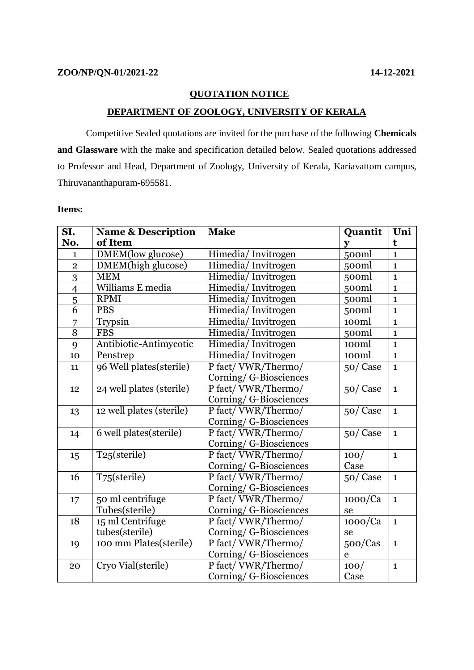## **QUOTATION NOTICE**

## **DEPARTMENT OF ZOOLOGY, UNIVERSITY OF KERALA**

Competitive Sealed quotations are invited for the purchase of the following **Chemicals and Glassware** with the make and specification detailed below. Sealed quotations addressed to Professor and Head, Department of Zoology, University of Kerala, Kariavattom campus, Thiruvananthapuram-695581.

## **Items:**

| SI.                      | <b>Name &amp; Description</b> | <b>Make</b>            | Quantit      | Uni          |
|--------------------------|-------------------------------|------------------------|--------------|--------------|
| No.                      | of Item                       |                        | $\mathbf{y}$ | t            |
| $\mathbf{1}$             | DMEM(low glucose)             | Himedia/Invitrogen     | 500ml        | $\mathbf{1}$ |
| $\overline{2}$           | DMEM(high glucose)            | Himedia/Invitrogen     | 500ml        | $\mathbf{1}$ |
| 3                        | <b>MEM</b>                    | Himedia/Invitrogen     | 500ml        | $\mathbf{1}$ |
| $\overline{\mathcal{A}}$ | Williams E media              | Himedia/Invitrogen     | 500ml        | $\mathbf{1}$ |
| $\overline{5}$           | <b>RPMI</b>                   | Himedia/Invitrogen     | 500ml        | $\mathbf{1}$ |
| $\overline{6}$           | <b>PBS</b>                    | Himedia/Invitrogen     | 500ml        | $\mathbf{1}$ |
| 7                        | Trypsin                       | Himedia/Invitrogen     | 100ml        | $\mathbf{1}$ |
| $\overline{8}$           | <b>FBS</b>                    | Himedia/Invitrogen     | 500ml        | $\mathbf{1}$ |
| 9                        | Antibiotic-Antimycotic        | Himedia/Invitrogen     | 100ml        | $\mathbf{1}$ |
| 10                       | Penstrep                      | Himedia/Invitrogen     | 100ml        | $\mathbf{1}$ |
| 11                       | 96 Well plates(sterile)       | P fact/VWR/Thermo/     | 50/Case      | $\mathbf{1}$ |
|                          |                               | Corning/ G-Biosciences |              |              |
| 12                       | 24 well plates (sterile)      | P fact/VWR/Thermo/     | 50/Case      | $\mathbf{1}$ |
|                          |                               | Corning/ G-Biosciences |              |              |
| 13                       | 12 well plates (sterile)      | P fact/VWR/Thermo/     | 50/Case      | $\mathbf{1}$ |
|                          |                               | Corning/ G-Biosciences |              |              |
| 14                       | 6 well plates(sterile)        | P fact/VWR/Thermo/     | 50/Case      | $\mathbf{1}$ |
|                          |                               | Corning/ G-Biosciences |              |              |
| 15                       | T25(sterile)                  | P fact/VWR/Thermo/     | 100/         | $\mathbf{1}$ |
|                          |                               | Corning/ G-Biosciences | Case         |              |
| 16                       | T75(sterile)                  | P fact/VWR/Thermo/     | 50/Case      | $\mathbf{1}$ |
|                          |                               | Corning/ G-Biosciences |              |              |
| 17                       | 50 ml centrifuge              | P fact/VWR/Thermo/     | 1000/Ca      | $\mathbf{1}$ |
|                          | Tubes(sterile)                | Corning/G-Biosciences  | se           |              |
| 18                       | 15 ml Centrifuge              | P fact/VWR/Thermo/     | 1000/Ca      | $\mathbf{1}$ |
|                          | tubes(sterile)                | Corning/ G-Biosciences | se           |              |
| 19                       | 100 mm Plates(sterile)        | P fact/VWR/Thermo/     | 500/Cas      | $\mathbf{1}$ |
|                          |                               | Corning/ G-Biosciences | e            |              |
| 20                       | Cryo Vial(sterile)            | P fact/VWR/Thermo/     | 100/         | $\mathbf{1}$ |
|                          |                               | Corning/ G-Biosciences | Case         |              |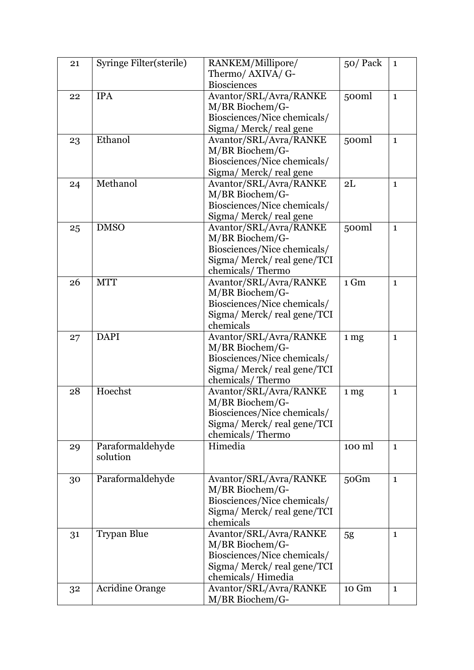| 21 | Syringe Filter(sterile) | RANKEM/Millipore/           | 50/Pack          | $\mathbf{1}$ |
|----|-------------------------|-----------------------------|------------------|--------------|
|    |                         | Thermo/ AXIVA/ G-           |                  |              |
|    |                         | <b>Biosciences</b>          |                  |              |
| 22 | <b>IPA</b>              | Avantor/SRL/Avra/RANKE      | 500 <sub>m</sub> | $\mathbf{1}$ |
|    |                         | M/BR Biochem/G-             |                  |              |
|    |                         | Biosciences/Nice chemicals/ |                  |              |
|    |                         | Sigma/Merck/real gene       |                  |              |
| 23 | Ethanol                 | Avantor/SRL/Avra/RANKE      | 500ml            | $\mathbf{1}$ |
|    |                         | M/BR Biochem/G-             |                  |              |
|    |                         | Biosciences/Nice chemicals/ |                  |              |
|    |                         | Sigma/ Merck/ real gene     |                  |              |
| 24 | Methanol                | Avantor/SRL/Avra/RANKE      | 2L               | $\mathbf{1}$ |
|    |                         | M/BR Biochem/G-             |                  |              |
|    |                         | Biosciences/Nice chemicals/ |                  |              |
|    |                         | Sigma/Merck/real gene       |                  |              |
| 25 | <b>DMSO</b>             | Avantor/SRL/Avra/RANKE      | 500ml            | $\mathbf{1}$ |
|    |                         | M/BR Biochem/G-             |                  |              |
|    |                         | Biosciences/Nice chemicals/ |                  |              |
|    |                         | Sigma/Merck/real gene/TCI   |                  |              |
|    |                         | chemicals/Thermo            |                  |              |
| 26 | <b>MTT</b>              | Avantor/SRL/Avra/RANKE      | 1 Gm             | $\mathbf{1}$ |
|    |                         | M/BR Biochem/G-             |                  |              |
|    |                         | Biosciences/Nice chemicals/ |                  |              |
|    |                         | Sigma/Merck/real gene/TCI   |                  |              |
|    |                         | chemicals                   |                  |              |
| 27 | <b>DAPI</b>             | Avantor/SRL/Avra/RANKE      | 1 <sub>mg</sub>  | $\mathbf{1}$ |
|    |                         | M/BR Biochem/G-             |                  |              |
|    |                         | Biosciences/Nice chemicals/ |                  |              |
|    |                         | Sigma/Merck/real gene/TCI   |                  |              |
|    |                         | chemicals/Thermo            |                  |              |
| 28 | Hoechst                 | Avantor/SRL/Avra/RANKE      | 1 mg             | $\mathbf{1}$ |
|    |                         | M/BR Biochem/G-             |                  |              |
|    |                         | Biosciences/Nice chemicals/ |                  |              |
|    |                         | Sigma/ Merck/ real gene/TCI |                  |              |
|    |                         | chemicals/Thermo            |                  |              |
| 29 | Paraformaldehyde        | Himedia                     | 100 ml           | $\mathbf{1}$ |
|    | solution                |                             |                  |              |
|    |                         |                             |                  |              |
| 30 | Paraformaldehyde        | Avantor/SRL/Avra/RANKE      | 50Gm             | $\mathbf{1}$ |
|    |                         | M/BR Biochem/G-             |                  |              |
|    |                         | Biosciences/Nice chemicals/ |                  |              |
|    |                         | Sigma/Merck/real gene/TCI   |                  |              |
|    |                         | chemicals                   |                  |              |
| 31 | <b>Trypan Blue</b>      | Avantor/SRL/Avra/RANKE      | 5g               | $\mathbf{1}$ |
|    |                         | M/BR Biochem/G-             |                  |              |
|    |                         | Biosciences/Nice chemicals/ |                  |              |
|    |                         | Sigma/Merck/real gene/TCI   |                  |              |
|    |                         | chemicals/Himedia           |                  |              |
| 32 | <b>Acridine Orange</b>  | Avantor/SRL/Avra/RANKE      | 10 Gm            | $\mathbf{1}$ |
|    |                         | M/BR Biochem/G-             |                  |              |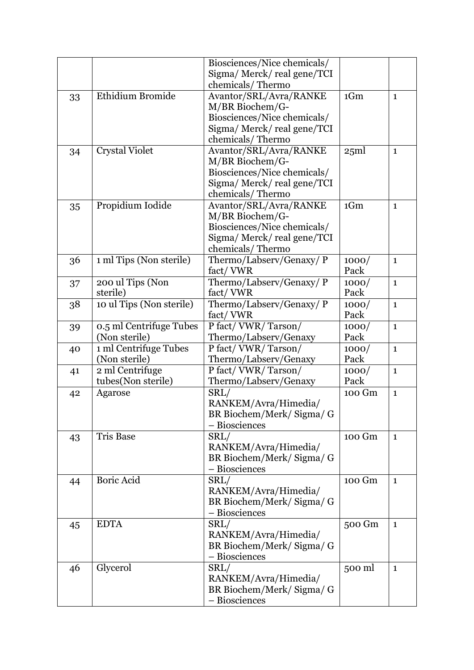|    |                          | Biosciences/Nice chemicals/                |        |              |
|----|--------------------------|--------------------------------------------|--------|--------------|
|    |                          | Sigma/Merck/real gene/TCI                  |        |              |
|    |                          | chemicals/Thermo                           |        |              |
| 33 | Ethidium Bromide         | Avantor/SRL/Avra/RANKE                     | 1Gm    | $\mathbf{1}$ |
|    |                          | M/BR Biochem/G-                            |        |              |
|    |                          | Biosciences/Nice chemicals/                |        |              |
|    |                          | Sigma/Merck/real gene/TCI                  |        |              |
|    |                          | chemicals/Thermo                           |        |              |
| 34 | <b>Crystal Violet</b>    | Avantor/SRL/Avra/RANKE                     | 25ml   | $\mathbf{1}$ |
|    |                          | M/BR Biochem/G-                            |        |              |
|    |                          | Biosciences/Nice chemicals/                |        |              |
|    |                          | Sigma/ Merck/ real gene/TCI                |        |              |
|    |                          | chemicals/Thermo                           |        |              |
| 35 | Propidium Iodide         | Avantor/SRL/Avra/RANKE                     | 1Gm    | $\mathbf{1}$ |
|    |                          | M/BR Biochem/G-                            |        |              |
|    |                          | Biosciences/Nice chemicals/                |        |              |
|    |                          | Sigma/ Merck/ real gene/TCI                |        |              |
|    |                          | chemicals/Thermo                           |        |              |
| 36 | 1 ml Tips (Non sterile)  | Thermo/Labserv/Genaxy/ P                   | 1000/  | $\mathbf{1}$ |
|    |                          | fact/VWR                                   | Pack   |              |
| 37 | 200 ul Tips (Non         | Thermo/Labserv/Genaxy/ P                   | 1000/  | $\mathbf{1}$ |
|    | sterile)                 | fact/VWR                                   | Pack   |              |
| 38 | 10 ul Tips (Non sterile) | Thermo/Labserv/Genaxy/ P                   | 1000/  | $\mathbf{1}$ |
|    |                          | fact/VWR                                   | Pack   |              |
| 39 | 0.5 ml Centrifuge Tubes  | P fact/VWR/Tarson/                         | 1000/  | $\mathbf{1}$ |
|    | (Non sterile)            | Thermo/Labserv/Genaxy                      | Pack   |              |
| 40 | 1 ml Centrifuge Tubes    | P fact/VWR/Tarson/                         | 1000/  | $\mathbf{1}$ |
|    | (Non sterile)            | Thermo/Labserv/Genaxy                      | Pack   |              |
| 41 | 2 ml Centrifuge          | P fact/VWR/Tarson/                         | 1000/  | $\mathbf{1}$ |
|    | tubes(Non sterile)       | Thermo/Labserv/Genaxy                      | Pack   |              |
| 42 | Agarose                  | SRL/                                       | 100 Gm | $\mathbf{1}$ |
|    |                          | RANKEM/Avra/Himedia/                       |        |              |
|    |                          | BR Biochem/Merk/ Sigma/ G<br>- Biosciences |        |              |
|    | <b>Tris Base</b>         |                                            | 100 Gm |              |
| 43 |                          | SRL/<br>RANKEM/Avra/Himedia/               |        | $\mathbf{1}$ |
|    |                          | BR Biochem/Merk/Sigma/G                    |        |              |
|    |                          | - Biosciences                              |        |              |
| 44 | <b>Boric Acid</b>        | SRL/                                       | 100 Gm | $\mathbf{1}$ |
|    |                          | RANKEM/Avra/Himedia/                       |        |              |
|    |                          | BR Biochem/Merk/Sigma/G                    |        |              |
|    |                          | - Biosciences                              |        |              |
| 45 | <b>EDTA</b>              | SRL/                                       | 500 Gm | $\mathbf{1}$ |
|    |                          | RANKEM/Avra/Himedia/                       |        |              |
|    |                          | BR Biochem/Merk/ Sigma/ G                  |        |              |
|    |                          | - Biosciences                              |        |              |
| 46 | Glycerol                 | SRL/                                       | 500 ml | 1            |
|    |                          | RANKEM/Avra/Himedia/                       |        |              |
|    |                          | BR Biochem/Merk/Sigma/G                    |        |              |
|    |                          | - Biosciences                              |        |              |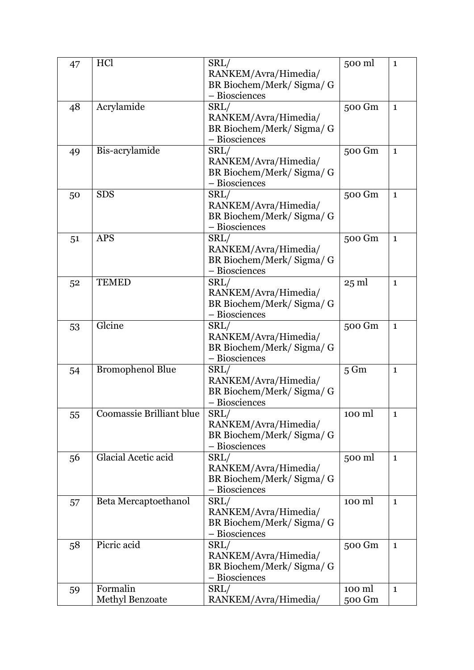| 47 | HCl                      | SRL/                                       | 500 ml          | $\mathbf{1}$ |
|----|--------------------------|--------------------------------------------|-----------------|--------------|
|    |                          | RANKEM/Avra/Himedia/                       |                 |              |
|    |                          | BR Biochem/Merk/ Sigma/ G                  |                 |              |
|    |                          | - Biosciences                              |                 |              |
| 48 | Acrylamide               | SRL/                                       | 500 Gm          | $\mathbf{1}$ |
|    |                          | RANKEM/Avra/Himedia/                       |                 |              |
|    |                          | BR Biochem/Merk/Sigma/G                    |                 |              |
|    |                          | - Biosciences                              |                 |              |
| 49 | Bis-acrylamide           | SRL/                                       | 500 Gm          | $\mathbf{1}$ |
|    |                          | RANKEM/Avra/Himedia/                       |                 |              |
|    |                          | BR Biochem/Merk/Sigma/G                    |                 |              |
|    |                          | - Biosciences                              |                 |              |
| 50 | <b>SDS</b>               | SRL/                                       | 500 Gm          | $\mathbf{1}$ |
|    |                          | RANKEM/Avra/Himedia/                       |                 |              |
|    |                          | BR Biochem/Merk/ Sigma/ G                  |                 |              |
|    |                          | - Biosciences                              |                 |              |
|    | <b>APS</b>               | SRL/                                       | 500 Gm          |              |
| 51 |                          | RANKEM/Avra/Himedia/                       |                 | $\mathbf{1}$ |
|    |                          |                                            |                 |              |
|    |                          | BR Biochem/Merk/ Sigma/ G<br>- Biosciences |                 |              |
|    |                          |                                            |                 |              |
| 52 | <b>TEMED</b>             | SRL/                                       | $25 \text{ ml}$ | $\mathbf{1}$ |
|    |                          | RANKEM/Avra/Himedia/                       |                 |              |
|    |                          | BR Biochem/Merk/Sigma/G                    |                 |              |
|    |                          | - Biosciences                              |                 |              |
| 53 | Glcine                   | SRL/                                       | 500 Gm          | $\mathbf{1}$ |
|    |                          | RANKEM/Avra/Himedia/                       |                 |              |
|    |                          | BR Biochem/Merk/ Sigma/ G                  |                 |              |
|    |                          | - Biosciences                              |                 |              |
| 54 | <b>Bromophenol Blue</b>  | SRL/                                       | $5 \text{ Gm}$  | $\mathbf{1}$ |
|    |                          | RANKEM/Avra/Himedia/                       |                 |              |
|    |                          | BR Biochem/Merk/ Sigma/ G                  |                 |              |
|    |                          | - Biosciences                              |                 |              |
| 55 | Coomassie Brilliant blue | SRL/                                       | 100 ml          | $\mathbf{1}$ |
|    |                          | RANKEM/Avra/Himedia/                       |                 |              |
|    |                          | BR Biochem/Merk/Sigma/G                    |                 |              |
|    |                          | - Biosciences                              |                 |              |
| 56 | Glacial Acetic acid      | SRL/                                       | 500 ml          | $\mathbf{1}$ |
|    |                          | RANKEM/Avra/Himedia/                       |                 |              |
|    |                          | BR Biochem/Merk/Sigma/G                    |                 |              |
|    |                          | - Biosciences                              |                 |              |
| 57 | Beta Mercaptoethanol     | SRL/                                       | 100 ml          | $\mathbf{1}$ |
|    |                          | RANKEM/Avra/Himedia/                       |                 |              |
|    |                          | BR Biochem/Merk/Sigma/G                    |                 |              |
|    |                          | - Biosciences                              |                 |              |
| 58 | Picric acid              | SRL/                                       | 500 Gm          | $\mathbf{1}$ |
|    |                          | RANKEM/Avra/Himedia/                       |                 |              |
|    |                          | BR Biochem/Merk/Sigma/G                    |                 |              |
|    |                          | - Biosciences                              |                 |              |
| 59 | Formalin                 | SRL/                                       | 100 ml          | $\mathbf{1}$ |
|    | Methyl Benzoate          | RANKEM/Avra/Himedia/                       | 500 Gm          |              |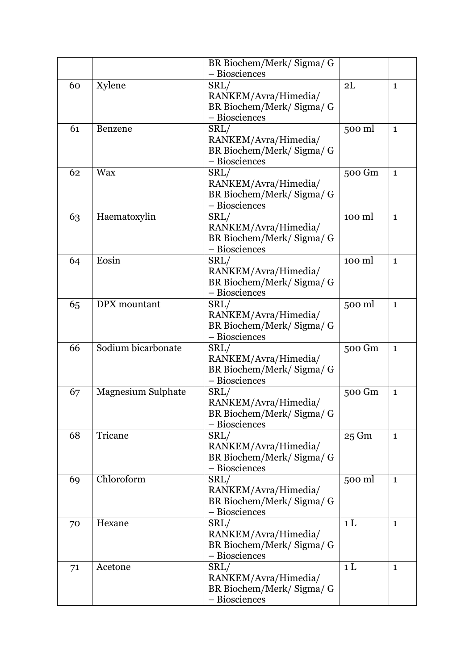|    |                           | BR Biochem/Merk/Sigma/G   |                 |              |
|----|---------------------------|---------------------------|-----------------|--------------|
|    |                           | - Biosciences             |                 |              |
| 60 | Xylene                    | SRL/                      | 2L              | $\mathbf{1}$ |
|    |                           | RANKEM/Avra/Himedia/      |                 |              |
|    |                           | BR Biochem/Merk/Sigma/G   |                 |              |
|    |                           | - Biosciences             |                 |              |
| 61 | Benzene                   | SRL/                      | 500 ml          | $\mathbf{1}$ |
|    |                           | RANKEM/Avra/Himedia/      |                 |              |
|    |                           | BR Biochem/Merk/Sigma/G   |                 |              |
|    |                           | - Biosciences             |                 |              |
| 62 | <b>Wax</b>                | SRL/                      | 500 Gm          | $\mathbf{1}$ |
|    |                           | RANKEM/Avra/Himedia/      |                 |              |
|    |                           | BR Biochem/Merk/Sigma/G   |                 |              |
|    |                           | - Biosciences             |                 |              |
| 63 | Haematoxylin              | SRL/                      | 100 ml          | $\mathbf{1}$ |
|    |                           | RANKEM/Avra/Himedia/      |                 |              |
|    |                           | BR Biochem/Merk/Sigma/G   |                 |              |
|    |                           | - Biosciences             |                 |              |
| 64 | Eosin                     | SRL/                      | 100 ml          | $\mathbf{1}$ |
|    |                           | RANKEM/Avra/Himedia/      |                 |              |
|    |                           | BR Biochem/Merk/Sigma/G   |                 |              |
|    |                           | - Biosciences             |                 |              |
| 65 | DPX mountant              | SRL/                      | 500 ml          | $\mathbf{1}$ |
|    |                           | RANKEM/Avra/Himedia/      |                 |              |
|    |                           | BR Biochem/Merk/Sigma/G   |                 |              |
|    |                           | - Biosciences             |                 |              |
| 66 | Sodium bicarbonate        | SRL/                      | 500 Gm          | $\mathbf{1}$ |
|    |                           | RANKEM/Avra/Himedia/      |                 |              |
|    |                           | BR Biochem/Merk/Sigma/G   |                 |              |
|    |                           | - Biosciences             |                 |              |
| 67 | <b>Magnesium Sulphate</b> | SRL/                      | 500 Gm          | $\mathbf{1}$ |
|    |                           | RANKEM/Avra/Himedia/      |                 |              |
|    |                           | BR Biochem/Merk/ Sigma/ G |                 |              |
|    |                           | - Biosciences             |                 |              |
| 68 | Tricane                   | SRL/                      | $25 \text{ Gm}$ | $\mathbf{1}$ |
|    |                           | RANKEM/Avra/Himedia/      |                 |              |
|    |                           | BR Biochem/Merk/Sigma/G   |                 |              |
|    |                           | - Biosciences             |                 |              |
| 69 | Chloroform                | SRL/                      | 500 ml          | $\mathbf{1}$ |
|    |                           | RANKEM/Avra/Himedia/      |                 |              |
|    |                           | BR Biochem/Merk/Sigma/G   |                 |              |
|    |                           | - Biosciences             |                 |              |
| 70 | Hexane                    | SRL/                      | 1 <sub>L</sub>  | $\mathbf{1}$ |
|    |                           | RANKEM/Avra/Himedia/      |                 |              |
|    |                           | BR Biochem/Merk/Sigma/G   |                 |              |
|    |                           | - Biosciences             |                 |              |
| 71 | Acetone                   | SRL/                      | 1 <sub>L</sub>  | $\mathbf{1}$ |
|    |                           | RANKEM/Avra/Himedia/      |                 |              |
|    |                           | BR Biochem/Merk/ Sigma/ G |                 |              |
|    |                           | - Biosciences             |                 |              |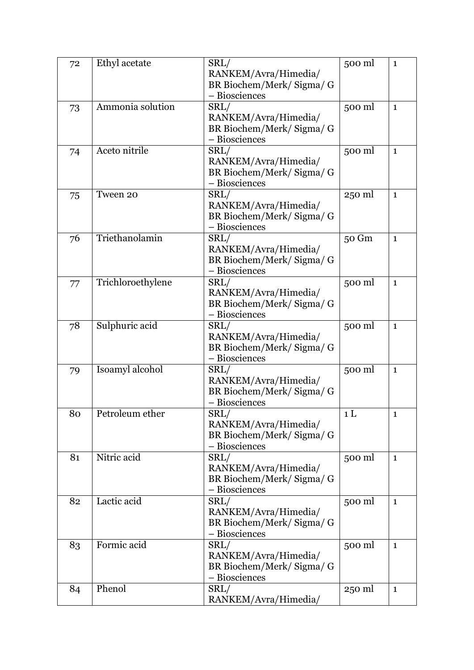| 72 | Ethyl acetate     | SRL/                      | 500 ml         | $\mathbf{1}$ |
|----|-------------------|---------------------------|----------------|--------------|
|    |                   | RANKEM/Avra/Himedia/      |                |              |
|    |                   | BR Biochem/Merk/ Sigma/ G |                |              |
|    |                   | - Biosciences             |                |              |
| 73 | Ammonia solution  | SRL/                      | 500 ml         | $\mathbf{1}$ |
|    |                   | RANKEM/Avra/Himedia/      |                |              |
|    |                   | BR Biochem/Merk/Sigma/G   |                |              |
|    |                   | - Biosciences             |                |              |
| 74 | Aceto nitrile     | SRL/                      | 500 ml         | $\mathbf{1}$ |
|    |                   | RANKEM/Avra/Himedia/      |                |              |
|    |                   | BR Biochem/Merk/Sigma/G   |                |              |
|    |                   | - Biosciences             |                |              |
| 75 | Tween 20          | SRL/                      | 250 ml         | $\mathbf{1}$ |
|    |                   | RANKEM/Avra/Himedia/      |                |              |
|    |                   | BR Biochem/Merk/ Sigma/ G |                |              |
|    |                   | - Biosciences             |                |              |
| 76 | Triethanolamin    | SRL/                      | 50 Gm          | $\mathbf{1}$ |
|    |                   | RANKEM/Avra/Himedia/      |                |              |
|    |                   | BR Biochem/Merk/Sigma/G   |                |              |
|    |                   | - Biosciences             |                |              |
|    | Trichloroethylene | SRL/                      | 500 ml         | $\mathbf{1}$ |
| 77 |                   | RANKEM/Avra/Himedia/      |                |              |
|    |                   | BR Biochem/Merk/Sigma/G   |                |              |
|    |                   | - Biosciences             |                |              |
| 78 | Sulphuric acid    | SRL/                      | 500 ml         | $\mathbf{1}$ |
|    |                   | RANKEM/Avra/Himedia/      |                |              |
|    |                   | BR Biochem/Merk/Sigma/G   |                |              |
|    |                   | - Biosciences             |                |              |
|    | Isoamyl alcohol   | SRL/                      | 500 ml         | $\mathbf{1}$ |
| 79 |                   | RANKEM/Avra/Himedia/      |                |              |
|    |                   | BR Biochem/Merk/ Sigma/ G |                |              |
|    |                   | - Biosciences             |                |              |
| 80 | Petroleum ether   | SRL/                      | 1 <sub>L</sub> | $\mathbf 1$  |
|    |                   | RANKEM/Avra/Himedia/      |                |              |
|    |                   | BR Biochem/Merk/Sigma/G   |                |              |
|    |                   | - Biosciences             |                |              |
| 81 | Nitric acid       | SRL/                      | 500 ml         | $\mathbf{1}$ |
|    |                   | RANKEM/Avra/Himedia/      |                |              |
|    |                   | BR Biochem/Merk/Sigma/G   |                |              |
|    |                   | - Biosciences             |                |              |
| 82 | Lactic acid       | SRL/                      | 500 ml         | $\mathbf{1}$ |
|    |                   | RANKEM/Avra/Himedia/      |                |              |
|    |                   | BR Biochem/Merk/Sigma/G   |                |              |
|    |                   | - Biosciences             |                |              |
| 83 | Formic acid       | SRL/                      | 500 ml         | $\mathbf{1}$ |
|    |                   | RANKEM/Avra/Himedia/      |                |              |
|    |                   | BR Biochem/Merk/Sigma/G   |                |              |
|    |                   | - Biosciences             |                |              |
| 84 | Phenol            | SRL/                      | 250 ml         | $\mathbf{1}$ |
|    |                   | RANKEM/Avra/Himedia/      |                |              |
|    |                   |                           |                |              |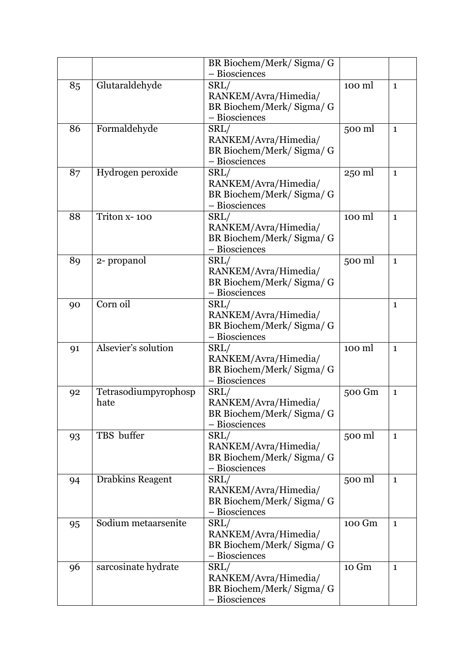|    |                              | BR Biochem/Merk/Sigma/G<br>- Biosciences                                   |        |              |
|----|------------------------------|----------------------------------------------------------------------------|--------|--------------|
| 85 | Glutaraldehyde               | SRL/<br>RANKEM/Avra/Himedia/<br>BR Biochem/Merk/Sigma/G<br>- Biosciences   | 100 ml | $\mathbf{1}$ |
| 86 | Formaldehyde                 | SRL/<br>RANKEM/Avra/Himedia/<br>BR Biochem/Merk/ Sigma/ G<br>- Biosciences | 500 ml | $\mathbf{1}$ |
| 87 | Hydrogen peroxide            | SRL/<br>RANKEM/Avra/Himedia/<br>BR Biochem/Merk/Sigma/G<br>- Biosciences   | 250 ml | $\mathbf{1}$ |
| 88 | Triton x-100                 | SRL/<br>RANKEM/Avra/Himedia/<br>BR Biochem/Merk/Sigma/G<br>- Biosciences   | 100 ml | $\mathbf{1}$ |
| 89 | 2- propanol                  | SRL/<br>RANKEM/Avra/Himedia/<br>BR Biochem/Merk/Sigma/G<br>- Biosciences   | 500 ml | $\mathbf{1}$ |
| 90 | Corn oil                     | SRL/<br>RANKEM/Avra/Himedia/<br>BR Biochem/Merk/Sigma/G<br>- Biosciences   |        | $\mathbf{1}$ |
| 91 | Alsevier's solution          | SRL/<br>RANKEM/Avra/Himedia/<br>BR Biochem/Merk/Sigma/G<br>- Biosciences   | 100 ml | $\mathbf{1}$ |
| 92 | Tetrasodiumpyrophosp<br>hate | SRL/<br>RANKEM/Avra/Himedia/<br>BR Biochem/Merk/ Sigma/ G<br>- Biosciences | 500 Gm | $\mathbf{1}$ |
| 93 | TBS buffer                   | SRL/<br>RANKEM/Avra/Himedia/<br>BR Biochem/Merk/Sigma/G<br>- Biosciences   | 500 ml | $\mathbf{1}$ |
| 94 | <b>Drabkins Reagent</b>      | SRL/<br>RANKEM/Avra/Himedia/<br>BR Biochem/Merk/ Sigma/ G<br>- Biosciences | 500 ml | $\mathbf{1}$ |
| 95 | Sodium metaarsenite          | SRL/<br>RANKEM/Avra/Himedia/<br>BR Biochem/Merk/Sigma/G<br>- Biosciences   | 100 Gm | $\mathbf{1}$ |
| 96 | sarcosinate hydrate          | SRL/<br>RANKEM/Avra/Himedia/<br>BR Biochem/Merk/ Sigma/ G<br>- Biosciences | 10 Gm  | $\mathbf{1}$ |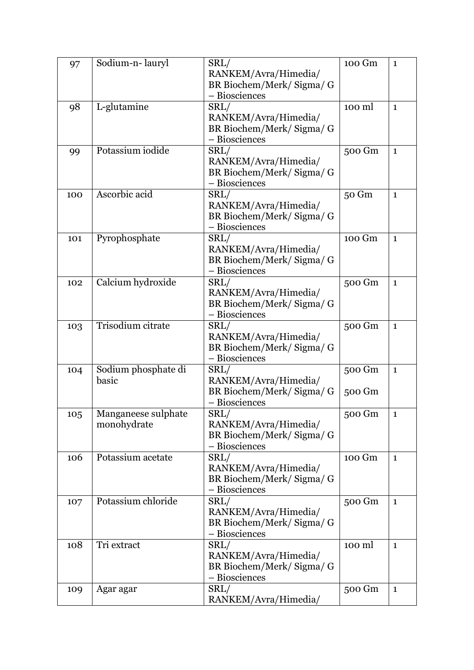| 97  | Sodium-n-lauryl                    | SRL/<br>RANKEM/Avra/Himedia/<br>BR Biochem/Merk/Sigma/G<br>- Biosciences   | 100 Gm           | $\mathbf{1}$ |
|-----|------------------------------------|----------------------------------------------------------------------------|------------------|--------------|
| 98  | L-glutamine                        | SRL/<br>RANKEM/Avra/Himedia/<br>BR Biochem/Merk/Sigma/G<br>- Biosciences   | 100 ml           | $\mathbf{1}$ |
| 99  | Potassium iodide                   | SRL/<br>RANKEM/Avra/Himedia/<br>BR Biochem/Merk/Sigma/G<br>- Biosciences   | 500 Gm           | $\mathbf{1}$ |
| 100 | Ascorbic acid                      | SRL/<br>RANKEM/Avra/Himedia/<br>BR Biochem/Merk/Sigma/G<br>- Biosciences   | 50 Gm            | $\mathbf{1}$ |
| 101 | Pyrophosphate                      | SRL/<br>RANKEM/Avra/Himedia/<br>BR Biochem/Merk/ Sigma/ G<br>- Biosciences | 100 Gm           | $\mathbf{1}$ |
| 102 | Calcium hydroxide                  | SRL/<br>RANKEM/Avra/Himedia/<br>BR Biochem/Merk/ Sigma/ G<br>- Biosciences | 500 Gm           | $\mathbf{1}$ |
| 103 | Trisodium citrate                  | SRL/<br>RANKEM/Avra/Himedia/<br>BR Biochem/Merk/Sigma/G<br>- Biosciences   | 500 Gm           | $\mathbf{1}$ |
| 104 | Sodium phosphate di<br>basic       | SRL/<br>RANKEM/Avra/Himedia/<br>BR Biochem/Merk/Sigma/G<br>- Biosciences   | 500 Gm<br>500 Gm | $\mathbf{1}$ |
| 105 | Manganeese sulphate<br>monohydrate | SRL/<br>RANKEM/Avra/Himedia/<br>BR Biochem/Merk/Sigma/G<br>- Biosciences   | 500 Gm           | $\mathbf{1}$ |
| 106 | Potassium acetate                  | SRL/<br>RANKEM/Avra/Himedia/<br>BR Biochem/Merk/Sigma/G<br>- Biosciences   | 100 Gm           | $\mathbf{1}$ |
| 107 | Potassium chloride                 | SRL/<br>RANKEM/Avra/Himedia/<br>BR Biochem/Merk/Sigma/G<br>- Biosciences   | 500 Gm           | $\mathbf{1}$ |
| 108 | Tri extract                        | SRL/<br>RANKEM/Avra/Himedia/<br>BR Biochem/Merk/Sigma/G<br>- Biosciences   | 100 ml           | $\mathbf{1}$ |
| 109 | Agar agar                          | SRL/<br>RANKEM/Avra/Himedia/                                               | 500 Gm           | $\mathbf{1}$ |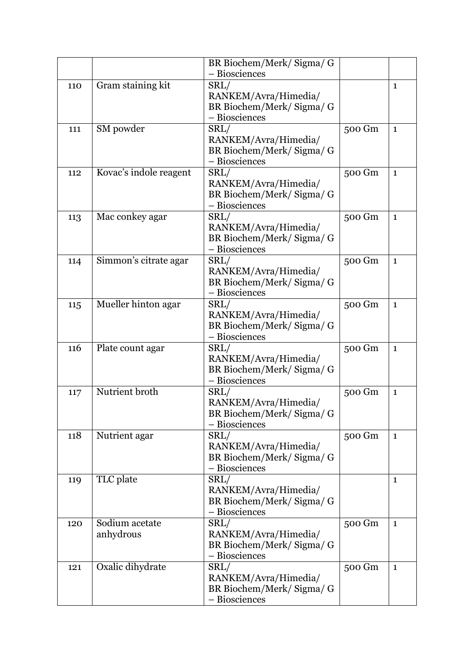|     |                        | BR Biochem/Merk/Sigma/G                  |        |              |
|-----|------------------------|------------------------------------------|--------|--------------|
|     |                        | - Biosciences                            |        |              |
| 110 | Gram staining kit      | SRL/                                     |        | $\mathbf{1}$ |
|     |                        | RANKEM/Avra/Himedia/                     |        |              |
|     |                        | BR Biochem/Merk/Sigma/G                  |        |              |
|     |                        | - Biosciences                            |        |              |
| 111 | SM powder              | SRL/                                     | 500 Gm | $\mathbf{1}$ |
|     |                        | RANKEM/Avra/Himedia/                     |        |              |
|     |                        | BR Biochem/Merk/Sigma/G                  |        |              |
|     |                        | - Biosciences                            |        |              |
| 112 | Kovac's indole reagent | SRL/                                     | 500 Gm | $\mathbf{1}$ |
|     |                        | RANKEM/Avra/Himedia/                     |        |              |
|     |                        | BR Biochem/Merk/ Sigma/ G                |        |              |
|     |                        | - Biosciences                            |        |              |
| 113 | Mac conkey agar        | SRL/                                     | 500 Gm | $\mathbf{1}$ |
|     |                        | RANKEM/Avra/Himedia/                     |        |              |
|     |                        | BR Biochem/Merk/Sigma/G                  |        |              |
|     |                        | - Biosciences                            |        |              |
| 114 | Simmon's citrate agar  | SRL/                                     | 500 Gm | $\mathbf{1}$ |
|     |                        | RANKEM/Avra/Himedia/                     |        |              |
|     |                        | BR Biochem/Merk/Sigma/G                  |        |              |
|     |                        | - Biosciences                            |        |              |
| 115 | Mueller hinton agar    | SRL/                                     | 500 Gm | $\mathbf{1}$ |
|     |                        | RANKEM/Avra/Himedia/                     |        |              |
|     |                        | BR Biochem/Merk/ Sigma/ G                |        |              |
|     |                        | - Biosciences                            |        |              |
| 116 | Plate count agar       | SRL/                                     | 500 Gm | $\mathbf{1}$ |
|     |                        | RANKEM/Avra/Himedia/                     |        |              |
|     |                        | BR Biochem/Merk/Sigma/G                  |        |              |
|     | Nutrient broth         | - Biosciences                            |        |              |
| 117 |                        | SRL/                                     | 500 Gm | $\mathbf{1}$ |
|     |                        | RANKEM/Avra/Himedia/                     |        |              |
|     |                        | BR Biochem/Merk/Sigma/G<br>- Biosciences |        |              |
| 118 | Nutrient agar          | SRL/                                     | 500 Gm |              |
|     |                        | RANKEM/Avra/Himedia/                     |        | $\mathbf{1}$ |
|     |                        | BR Biochem/Merk/Sigma/G                  |        |              |
|     |                        | - Biosciences                            |        |              |
| 119 | TLC plate              | SRL/                                     |        | $\mathbf{1}$ |
|     |                        | RANKEM/Avra/Himedia/                     |        |              |
|     |                        | BR Biochem/Merk/Sigma/G                  |        |              |
|     |                        | - Biosciences                            |        |              |
| 120 | Sodium acetate         | SRL/                                     | 500 Gm | $\mathbf{1}$ |
|     | anhydrous              | RANKEM/Avra/Himedia/                     |        |              |
|     |                        | BR Biochem/Merk/Sigma/G                  |        |              |
|     |                        | - Biosciences                            |        |              |
| 121 | Oxalic dihydrate       | SRL/                                     | 500 Gm | $\mathbf{1}$ |
|     |                        | RANKEM/Avra/Himedia/                     |        |              |
|     |                        | BR Biochem/Merk/Sigma/G                  |        |              |
|     |                        | - Biosciences                            |        |              |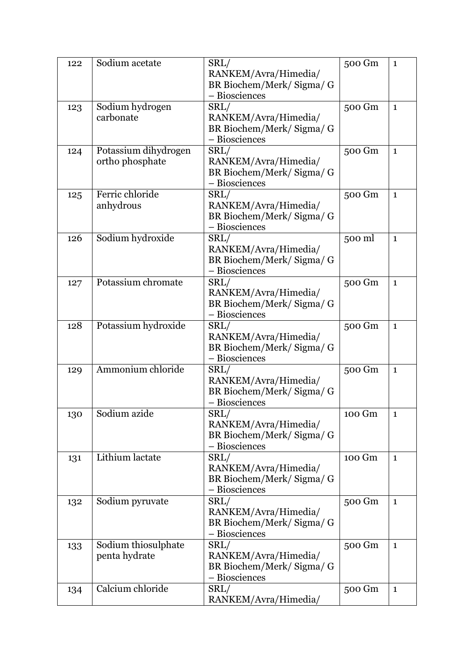| 122 | Sodium acetate                          | SRL/<br>RANKEM/Avra/Himedia/<br>BR Biochem/Merk/Sigma/G<br>- Biosciences   | 500 Gm | $\mathbf{1}$ |
|-----|-----------------------------------------|----------------------------------------------------------------------------|--------|--------------|
| 123 | Sodium hydrogen<br>carbonate            | SRL/<br>RANKEM/Avra/Himedia/<br>BR Biochem/Merk/Sigma/G<br>- Biosciences   | 500 Gm | $\mathbf{1}$ |
| 124 | Potassium dihydrogen<br>ortho phosphate | SRL/<br>RANKEM/Avra/Himedia/<br>BR Biochem/Merk/ Sigma/ G<br>- Biosciences | 500 Gm | $\mathbf{1}$ |
| 125 | Ferric chloride<br>anhydrous            | SRL/<br>RANKEM/Avra/Himedia/<br>BR Biochem/Merk/Sigma/G<br>- Biosciences   | 500 Gm | $\mathbf{1}$ |
| 126 | Sodium hydroxide                        | SRL/<br>RANKEM/Avra/Himedia/<br>BR Biochem/Merk/Sigma/G<br>- Biosciences   | 500 ml | $\mathbf{1}$ |
| 127 | Potassium chromate                      | SRL/<br>RANKEM/Avra/Himedia/<br>BR Biochem/Merk/Sigma/G<br>- Biosciences   | 500 Gm | $\mathbf{1}$ |
| 128 | Potassium hydroxide                     | SRL/<br>RANKEM/Avra/Himedia/<br>BR Biochem/Merk/Sigma/G<br>- Biosciences   | 500 Gm | $\mathbf{1}$ |
| 129 | Ammonium chloride                       | SRL/<br>RANKEM/Avra/Himedia/<br>BR Biochem/Merk/ Sigma/ G<br>- Biosciences | 500 Gm | $\mathbf{1}$ |
| 130 | Sodium azide                            | SRL/<br>RANKEM/Avra/Himedia/<br>BR Biochem/Merk/Sigma/G<br>- Biosciences   | 100 Gm | $\mathbf 1$  |
| 131 | Lithium lactate                         | SRL/<br>RANKEM/Avra/Himedia/<br>BR Biochem/Merk/Sigma/G<br>- Biosciences   | 100 Gm | $\mathbf{1}$ |
| 132 | Sodium pyruvate                         | SRL/<br>RANKEM/Avra/Himedia/<br>BR Biochem/Merk/Sigma/G<br>- Biosciences   | 500 Gm | $\mathbf{1}$ |
| 133 | Sodium thiosulphate<br>penta hydrate    | SRL/<br>RANKEM/Avra/Himedia/<br>BR Biochem/Merk/Sigma/G<br>- Biosciences   | 500 Gm | $\mathbf{1}$ |
| 134 | Calcium chloride                        | SRL/<br>RANKEM/Avra/Himedia/                                               | 500 Gm | $\mathbf{1}$ |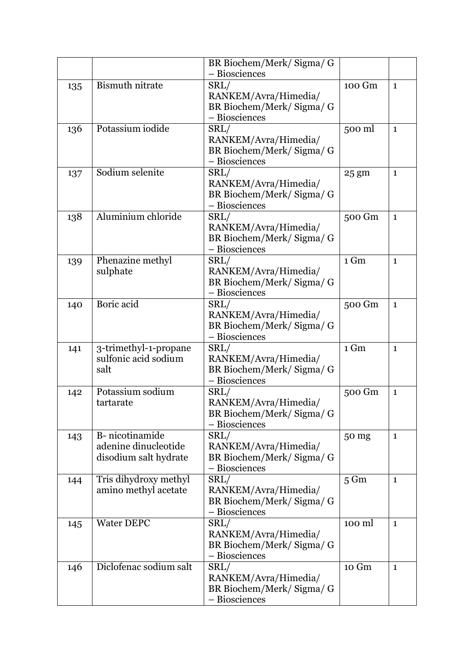|     |                        | BR Biochem/Merk/ Sigma/ G |                 |              |
|-----|------------------------|---------------------------|-----------------|--------------|
|     |                        | - Biosciences             |                 |              |
| 135 | <b>Bismuth nitrate</b> | SRL/                      | 100 Gm          | $\mathbf{1}$ |
|     |                        | RANKEM/Avra/Himedia/      |                 |              |
|     |                        | BR Biochem/Merk/Sigma/G   |                 |              |
|     |                        | - Biosciences             |                 |              |
| 136 | Potassium iodide       | SRL/                      | 500 ml          | $\mathbf{1}$ |
|     |                        | RANKEM/Avra/Himedia/      |                 |              |
|     |                        | BR Biochem/Merk/Sigma/G   |                 |              |
|     |                        | - Biosciences             |                 |              |
| 137 | Sodium selenite        | SRL/                      | $25 \text{ gm}$ | $\mathbf{1}$ |
|     |                        | RANKEM/Avra/Himedia/      |                 |              |
|     |                        | BR Biochem/Merk/ Sigma/ G |                 |              |
|     |                        | - Biosciences             |                 |              |
| 138 | Aluminium chloride     | SRL/                      | 500 Gm          | $\mathbf{1}$ |
|     |                        | RANKEM/Avra/Himedia/      |                 |              |
|     |                        |                           |                 |              |
|     |                        | BR Biochem/Merk/Sigma/G   |                 |              |
|     |                        | - Biosciences             |                 |              |
| 139 | Phenazine methyl       | SRL/                      | 1 Gm            | $\mathbf{1}$ |
|     | sulphate               | RANKEM/Avra/Himedia/      |                 |              |
|     |                        | BR Biochem/Merk/Sigma/G   |                 |              |
|     |                        | - Biosciences             |                 |              |
| 140 | Boric acid             | SRL/                      | 500 Gm          | $\mathbf{1}$ |
|     |                        | RANKEM/Avra/Himedia/      |                 |              |
|     |                        | BR Biochem/Merk/ Sigma/ G |                 |              |
|     |                        | - Biosciences             |                 |              |
| 141 | 3-trimethyl-1-propane  | SRL/                      | 1 Gm            | $\mathbf{1}$ |
|     | sulfonic acid sodium   | RANKEM/Avra/Himedia/      |                 |              |
|     | salt                   | BR Biochem/Merk/Sigma/G   |                 |              |
|     |                        | - Biosciences             |                 |              |
| 142 | Potassium sodium       | SRL/                      | 500 Gm          | $\mathbf{1}$ |
|     | tartarate              | RANKEM/Avra/Himedia/      |                 |              |
|     |                        | BR Biochem/Merk/ Sigma/ G |                 |              |
|     |                        | - Biosciences             |                 |              |
| 143 | B-nicotinamide         | SRL/                      | 50 mg           | $\mathbf{1}$ |
|     | adenine dinucleotide   | RANKEM/Avra/Himedia/      |                 |              |
|     | disodium salt hydrate  | BR Biochem/Merk/Sigma/G   |                 |              |
|     |                        | - Biosciences             |                 |              |
|     | Tris dihydroxy methyl  | SRL/                      | $5 \text{ Gm}$  | $\mathbf{1}$ |
| 144 | amino methyl acetate   | RANKEM/Avra/Himedia/      |                 |              |
|     |                        | BR Biochem/Merk/Sigma/G   |                 |              |
|     |                        | - Biosciences             |                 |              |
|     |                        |                           |                 |              |
| 145 | <b>Water DEPC</b>      | SRL/                      | 100 ml          | $\mathbf{1}$ |
|     |                        | RANKEM/Avra/Himedia/      |                 |              |
|     |                        | BR Biochem/Merk/Sigma/G   |                 |              |
|     |                        | - Biosciences             |                 |              |
| 146 | Diclofenac sodium salt | SRL/                      | 10 Gm           | $\mathbf{1}$ |
|     |                        | RANKEM/Avra/Himedia/      |                 |              |
|     |                        | BR Biochem/Merk/Sigma/G   |                 |              |
|     |                        | - Biosciences             |                 |              |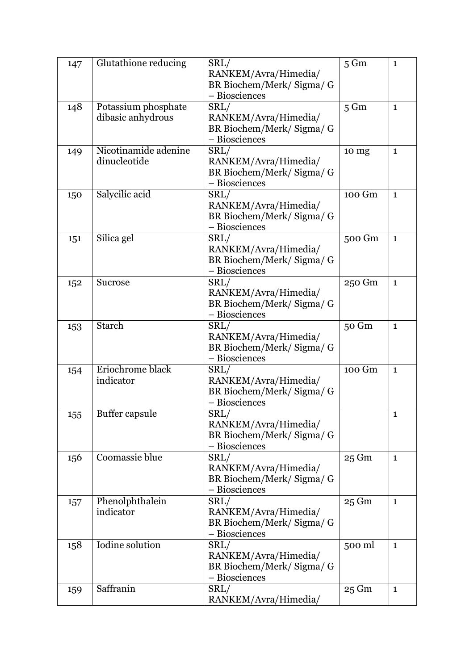| 147 | Glutathione reducing                     | SRL/<br>RANKEM/Avra/Himedia/<br>BR Biochem/Merk/Sigma/G<br>- Biosciences | $5 \text{ Gm}$  | $\mathbf{1}$ |
|-----|------------------------------------------|--------------------------------------------------------------------------|-----------------|--------------|
| 148 | Potassium phosphate<br>dibasic anhydrous | SRL/<br>RANKEM/Avra/Himedia/<br>BR Biochem/Merk/Sigma/G<br>- Biosciences | $5 \text{ Gm}$  | $\mathbf{1}$ |
| 149 | Nicotinamide adenine<br>dinucleotide     | SRL/<br>RANKEM/Avra/Himedia/<br>BR Biochem/Merk/Sigma/G<br>- Biosciences | 10 mg           | $\mathbf{1}$ |
| 150 | Salycilic acid                           | SRL/<br>RANKEM/Avra/Himedia/<br>BR Biochem/Merk/Sigma/G<br>- Biosciences | 100 Gm          | $\mathbf{1}$ |
| 151 | Silica gel                               | SRL/<br>RANKEM/Avra/Himedia/<br>BR Biochem/Merk/Sigma/G<br>- Biosciences | 500 Gm          | $\mathbf{1}$ |
| 152 | <b>Sucrose</b>                           | SRL/<br>RANKEM/Avra/Himedia/<br>BR Biochem/Merk/Sigma/G<br>- Biosciences | 250 Gm          | $\mathbf{1}$ |
| 153 | <b>Starch</b>                            | SRL/<br>RANKEM/Avra/Himedia/<br>BR Biochem/Merk/Sigma/G<br>- Biosciences | 50 Gm           | $\mathbf{1}$ |
| 154 | Eriochrome black<br>indicator            | SRL/<br>RANKEM/Avra/Himedia/<br>BR Biochem/Merk/Sigma/G<br>- Biosciences | 100 Gm          | $\mathbf{1}$ |
| 155 | Buffer capsule                           | SRL/<br>RANKEM/Avra/Himedia/<br>BR Biochem/Merk/Sigma/G<br>- Biosciences |                 | $\mathbf 1$  |
| 156 | Coomassie blue                           | SRL/<br>RANKEM/Avra/Himedia/<br>BR Biochem/Merk/Sigma/G<br>- Biosciences | 25 Gm           | $\mathbf{1}$ |
| 157 | Phenolphthalein<br>indicator             | SRL/<br>RANKEM/Avra/Himedia/<br>BR Biochem/Merk/Sigma/G<br>- Biosciences | 25 Gm           | $\mathbf{1}$ |
| 158 | Iodine solution                          | SRL/<br>RANKEM/Avra/Himedia/<br>BR Biochem/Merk/Sigma/G<br>- Biosciences | 500 ml          | $\mathbf{1}$ |
| 159 | Saffranin                                | SRL/<br>RANKEM/Avra/Himedia/                                             | $25 \text{ Gm}$ | $\mathbf{1}$ |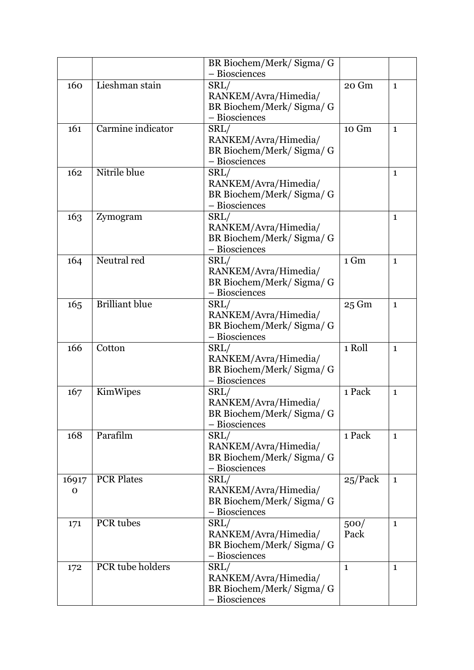|       |                       | BR Biochem/Merk/Sigma/G   |              |              |
|-------|-----------------------|---------------------------|--------------|--------------|
|       |                       | - Biosciences             |              |              |
| 160   | Lieshman stain        | SRL/                      | 20 Gm        | $\mathbf{1}$ |
|       |                       | RANKEM/Avra/Himedia/      |              |              |
|       |                       | BR Biochem/Merk/ Sigma/ G |              |              |
|       |                       | - Biosciences             |              |              |
| 161   | Carmine indicator     | SRL/                      | 10 Gm        | $\mathbf{1}$ |
|       |                       | RANKEM/Avra/Himedia/      |              |              |
|       |                       | BR Biochem/Merk/Sigma/G   |              |              |
|       |                       | - Biosciences             |              |              |
| 162   | Nitrile blue          | SRL/                      |              | $\mathbf{1}$ |
|       |                       | RANKEM/Avra/Himedia/      |              |              |
|       |                       |                           |              |              |
|       |                       | BR Biochem/Merk/Sigma/G   |              |              |
|       |                       | - Biosciences             |              |              |
| 163   | Zymogram              | SRL/                      |              | $\mathbf{1}$ |
|       |                       | RANKEM/Avra/Himedia/      |              |              |
|       |                       | BR Biochem/Merk/Sigma/G   |              |              |
|       |                       | - Biosciences             |              |              |
| 164   | Neutral red           | SRL/                      | 1 Gm         | $\mathbf{1}$ |
|       |                       | RANKEM/Avra/Himedia/      |              |              |
|       |                       | BR Biochem/Merk/Sigma/G   |              |              |
|       |                       | - Biosciences             |              |              |
| 165   | <b>Brilliant blue</b> | SRL/                      | 25 Gm        | $\mathbf{1}$ |
|       |                       | RANKEM/Avra/Himedia/      |              |              |
|       |                       | BR Biochem/Merk/ Sigma/ G |              |              |
|       |                       | - Biosciences             |              |              |
| 166   | Cotton                | SRL/                      | 1 Roll       | $\mathbf{1}$ |
|       |                       | RANKEM/Avra/Himedia/      |              |              |
|       |                       | BR Biochem/Merk/Sigma/G   |              |              |
|       |                       | - Biosciences             |              |              |
| 167   | KimWipes              | SRL/                      | 1 Pack       | $\mathbf{1}$ |
|       |                       | RANKEM/Avra/Himedia/      |              |              |
|       |                       | BR Biochem/Merk/ Sigma/ G |              |              |
|       |                       | - Biosciences             |              |              |
| 168   | Parafilm              | SRL/                      | 1 Pack       | $\mathbf{1}$ |
|       |                       | RANKEM/Avra/Himedia/      |              |              |
|       |                       | BR Biochem/Merk/Sigma/G   |              |              |
|       |                       | - Biosciences             |              |              |
| 16917 | <b>PCR Plates</b>     | SRL/                      | 25/Pack      | $\mathbf{1}$ |
| 0     |                       | RANKEM/Avra/Himedia/      |              |              |
|       |                       | BR Biochem/Merk/Sigma/G   |              |              |
|       |                       | - Biosciences             |              |              |
| 171   | PCR tubes             | SRL/                      | 500/         | $\mathbf{1}$ |
|       |                       | RANKEM/Avra/Himedia/      | Pack         |              |
|       |                       | BR Biochem/Merk/Sigma/G   |              |              |
|       |                       | - Biosciences             |              |              |
| 172   | PCR tube holders      | SRL/                      | $\mathbf{1}$ | 1            |
|       |                       | RANKEM/Avra/Himedia/      |              |              |
|       |                       | BR Biochem/Merk/ Sigma/ G |              |              |
|       |                       | - Biosciences             |              |              |
|       |                       |                           |              |              |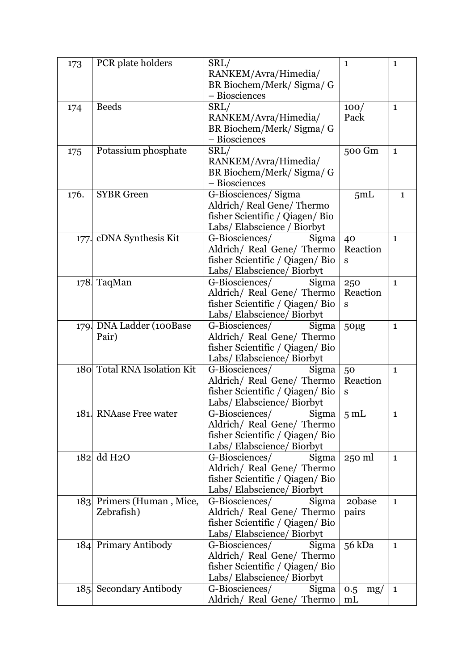| 173  | PCR plate holders           | SRL/                                     | $\mathbf{1}$    | $\mathbf 1$  |
|------|-----------------------------|------------------------------------------|-----------------|--------------|
|      |                             | RANKEM/Avra/Himedia/                     |                 |              |
|      |                             | BR Biochem/Merk/ Sigma/ G                |                 |              |
|      |                             | - Biosciences                            |                 |              |
| 174  | <b>Beeds</b>                | SRL/                                     | 100/            | $\mathbf{1}$ |
|      |                             | RANKEM/Avra/Himedia/                     | Pack            |              |
|      |                             | BR Biochem/Merk/Sigma/G                  |                 |              |
|      |                             | - Biosciences                            |                 |              |
|      | Potassium phosphate         | SRL/                                     | 500 Gm          | $\mathbf{1}$ |
| 175  |                             | RANKEM/Avra/Himedia/                     |                 |              |
|      |                             |                                          |                 |              |
|      |                             | BR Biochem/Merk/Sigma/G<br>- Biosciences |                 |              |
|      |                             |                                          |                 |              |
| 176. | <b>SYBR</b> Green           | G-Biosciences/Sigma                      | 5mL             | $\mathbf{1}$ |
|      |                             | Aldrich/Real Gene/Thermo                 |                 |              |
|      |                             | fisher Scientific / Qiagen/ Bio          |                 |              |
|      |                             | Labs/Elabscience / Biorbyt               |                 |              |
|      | 177. cDNA Synthesis Kit     | G-Biosciences/<br>Sigma                  | 40              | $\mathbf{1}$ |
|      |                             | Aldrich/ Real Gene/ Thermo               | Reaction        |              |
|      |                             | fisher Scientific / Qiagen/ Bio          | S               |              |
|      |                             | Labs/ Elabscience/ Biorbyt               |                 |              |
|      | 178 TaqMan                  | G-Biosciences/<br>Sigma                  | 250             | $\mathbf{1}$ |
|      |                             | Aldrich/ Real Gene/ Thermo               | Reaction        |              |
|      |                             | fisher Scientific / Qiagen/ Bio          | S               |              |
|      |                             | Labs/ Elabscience/ Biorbyt               |                 |              |
|      | 179. DNA Ladder (100Base    | G-Biosciences/<br>Sigma                  | 50µg            | $\mathbf{1}$ |
|      | Pair)                       | Aldrich/ Real Gene/ Thermo               |                 |              |
|      |                             | fisher Scientific / Qiagen/ Bio          |                 |              |
|      |                             | Labs/ Elabscience/ Biorbyt               |                 |              |
|      | 180 Total RNA Isolation Kit | G-Biosciences/<br>Sigma                  | 50              | $\mathbf{1}$ |
|      |                             | Aldrich/ Real Gene/ Thermo               | Reaction        |              |
|      |                             | fisher Scientific / Qiagen/ Bio          | ${\bf S}$       |              |
|      |                             | Labs/ Elabscience/ Biorbyt               |                 |              |
|      | 181. RNAase Free water      | G-Biosciences/ Sigma                     | 5 <sub>mL</sub> | $\mathbf 1$  |
|      |                             | Aldrich/ Real Gene/ Thermo               |                 |              |
|      |                             | fisher Scientific / Qiagen/ Bio          |                 |              |
|      |                             | Labs/Elabscience/Biorbyt                 |                 |              |
|      | 182 dd H <sub>2</sub> O     | G-Biosciences/<br>Sigma                  | 250 ml          | $\mathbf{1}$ |
|      |                             | Aldrich/ Real Gene/ Thermo               |                 |              |
|      |                             | fisher Scientific / Qiagen/ Bio          |                 |              |
|      |                             | Labs/ Elabscience/ Biorbyt               |                 |              |
|      |                             | G-Biosciences/                           |                 |              |
|      | 183 Primers (Human, Mice,   | Sigma                                    | 20base          | $\mathbf{1}$ |
|      | Zebrafish)                  | Aldrich/ Real Gene/ Thermo               | pairs           |              |
|      |                             | fisher Scientific / Qiagen/ Bio          |                 |              |
|      |                             | Labs/ Elabscience/ Biorbyt               |                 |              |
|      | 184 Primary Antibody        | G-Biosciences/<br>Sigma                  | 56 kDa          | $\mathbf{1}$ |
|      |                             | Aldrich/ Real Gene/ Thermo               |                 |              |
|      |                             | fisher Scientific / Qiagen/ Bio          |                 |              |
|      |                             | Labs/Elabscience/Biorbyt                 |                 |              |
|      | 185 Secondary Antibody      | G-Biosciences/<br>Sigma                  | 0.5<br>mg/      | $\mathbf{1}$ |
|      |                             | Aldrich/ Real Gene/ Thermo               | m <sub>L</sub>  |              |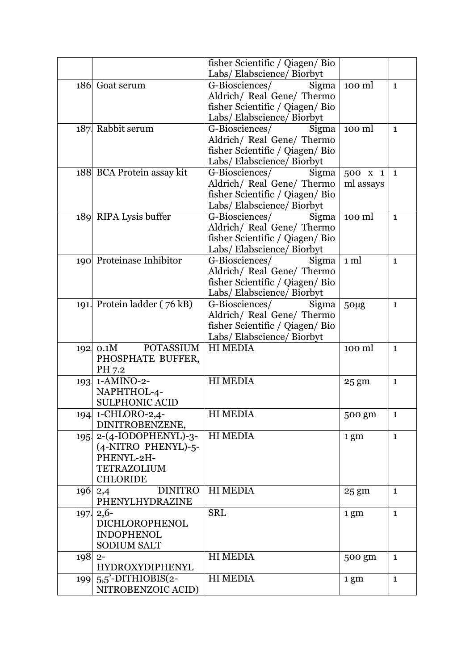|        |                             | fisher Scientific / Qiagen/ Bio |                 |              |
|--------|-----------------------------|---------------------------------|-----------------|--------------|
|        |                             | Labs/ Elabscience/ Biorbyt      |                 |              |
|        | 186 Goat serum              | G-Biosciences/<br>Sigma         | 100 ml          | $\mathbf{1}$ |
|        |                             | Aldrich/ Real Gene/ Thermo      |                 |              |
|        |                             | fisher Scientific / Qiagen/ Bio |                 |              |
|        |                             | Labs/ Elabscience/ Biorbyt      |                 |              |
|        | 187 Rabbit serum            | G-Biosciences/ Sigma            | 100 ml          | $\mathbf{1}$ |
|        |                             | Aldrich/ Real Gene/ Thermo      |                 |              |
|        |                             | fisher Scientific / Qiagen/ Bio |                 |              |
|        |                             | Labs/ Elabscience/ Biorbyt      |                 |              |
|        | 188 BCA Protein assay kit   | G-Biosciences/<br>Sigma         | 500 X 1         | $\mathbf{1}$ |
|        |                             | Aldrich/ Real Gene/ Thermo      | ml assays       |              |
|        |                             | fisher Scientific / Qiagen/ Bio |                 |              |
|        |                             | Labs/ Elabscience/ Biorbyt      |                 |              |
|        | 189 RIPA Lysis buffer       | G-Biosciences/<br>Sigma         | 100 ml          | $\mathbf{1}$ |
|        |                             | Aldrich/ Real Gene/ Thermo      |                 |              |
|        |                             | fisher Scientific / Qiagen/ Bio |                 |              |
|        |                             | Labs/Elabscience/Biorbyt        |                 |              |
|        | 190 Proteinase Inhibitor    | G-Biosciences/<br>Sigma         | 1 ml            | $\mathbf{1}$ |
|        |                             | Aldrich/ Real Gene/ Thermo      |                 |              |
|        |                             | fisher Scientific / Qiagen/ Bio |                 |              |
|        |                             | Labs/ Elabscience/ Biorbyt      |                 |              |
|        | 191. Protein ladder (76 kB) | G-Biosciences/ Sigma            | 50µg            | $\mathbf{1}$ |
|        |                             | Aldrich/ Real Gene/ Thermo      |                 |              |
|        |                             | fisher Scientific / Qiagen/ Bio |                 |              |
|        |                             | Labs/ Elabscience/ Biorbyt      |                 |              |
|        | 192 0.1M POTASSIUM          | <b>HI MEDIA</b>                 | 100 ml          | $\mathbf{1}$ |
|        | PHOSPHATE BUFFER,           |                                 |                 |              |
|        | PH 7.2                      |                                 |                 |              |
|        | 193 1-AMINO-2-              | <b>HI MEDIA</b>                 | 25 gm           | $\mathbf{1}$ |
|        | NAPHTHOL-4-                 |                                 |                 |              |
|        | <b>SULPHONIC ACID</b>       |                                 |                 |              |
|        | 194 1-CHLORO-2,4-           | <b>HI MEDIA</b>                 | 500 gm          | $\mathbf{1}$ |
|        | DINITROBENZENE,             |                                 |                 |              |
|        | $195$   2-(4-IODOPHENYL)-3- | <b>HI MEDIA</b>                 | 1 gm            | $\mathbf{1}$ |
|        | (4-NITRO PHENYL)-5-         |                                 |                 |              |
|        | PHENYL-2H-                  |                                 |                 |              |
|        | <b>TETRAZOLIUM</b>          |                                 |                 |              |
|        | <b>CHLORIDE</b>             |                                 |                 |              |
|        | <b>DINITRO</b><br>196 2,4   | <b>HI MEDIA</b>                 | $25 \text{ gm}$ | $\mathbf{1}$ |
|        | PHENYLHYDRAZINE             |                                 |                 |              |
|        | 197. 2,6-                   | <b>SRL</b>                      | 1 gm            | $\mathbf{1}$ |
|        | <b>DICHLOROPHENOL</b>       |                                 |                 |              |
|        | <b>INDOPHENOL</b>           |                                 |                 |              |
|        | <b>SODIUM SALT</b>          |                                 |                 |              |
| 198 2- |                             | <b>HI MEDIA</b>                 | 500 gm          | $\mathbf{1}$ |
|        | <b>HYDROXYDIPHENYL</b>      |                                 |                 |              |
|        | 199 $5.5$ '-DITHIOBIS(2-    | <b>HI MEDIA</b>                 | 1 gm            | $\mathbf{1}$ |
|        | NITROBENZOIC ACID)          |                                 |                 |              |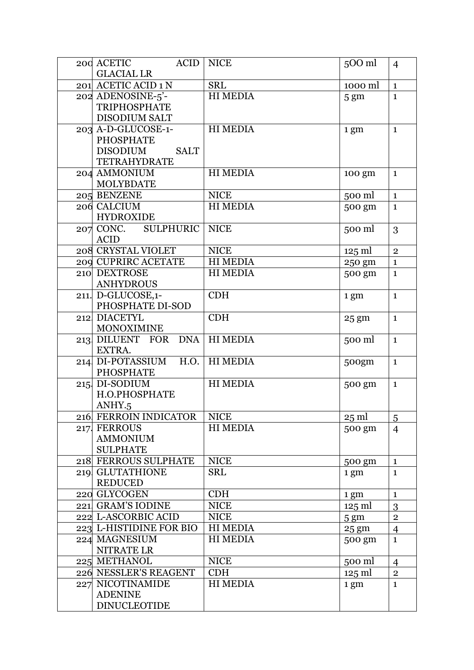| 200 ACETIC<br><b>ACID</b>      | <b>NICE</b>     | 500 ml           | $\overline{4}$          |
|--------------------------------|-----------------|------------------|-------------------------|
| <b>GLACIAL LR</b>              |                 |                  |                         |
| 201 ACETIC ACID 1 N            | <b>SRL</b>      | 1000 ml          | $\mathbf{1}$            |
| 202 ADENOSINE-5'-              | <b>HI MEDIA</b> | 5 <sub>gm</sub>  | $\mathbf{1}$            |
| <b>TRIPHOSPHATE</b>            |                 |                  |                         |
| <b>DISODIUM SALT</b>           |                 |                  |                         |
| 203 A-D-GLUCOSE-1-             | <b>HI MEDIA</b> | 1 gm             | $\mathbf{1}$            |
| <b>PHOSPHATE</b>               |                 |                  |                         |
| <b>DISODIUM</b><br><b>SALT</b> |                 |                  |                         |
| TETRAHYDRATE                   |                 |                  |                         |
| 204 AMMONIUM                   | <b>HI MEDIA</b> | 100 gm           | $\mathbf{1}$            |
| <b>MOLYBDATE</b>               |                 |                  |                         |
| 205 BENZENE                    | <b>NICE</b>     | 500 ml           | $\mathbf{1}$            |
| 206 CALCIUM                    | <b>HI MEDIA</b> | 500 gm           | $\mathbf{1}$            |
| <b>HYDROXIDE</b>               |                 |                  |                         |
| 207 CONC. SULPHURIC            | <b>NICE</b>     | 500 ml           | 3                       |
| <b>ACID</b>                    |                 |                  |                         |
| 208 CRYSTAL VIOLET             | <b>NICE</b>     | $125$ ml         | $\mathbf 2$             |
| 209 CUPRIRC ACETATE            | <b>HI MEDIA</b> | 250 gm           | $\mathbf{1}$            |
| 210 DEXTROSE                   | <b>HI MEDIA</b> | 500 gm           | $\mathbf{1}$            |
| <b>ANHYDROUS</b>               |                 |                  |                         |
| 211. D-GLUCOSE,1-              | <b>CDH</b>      | 1 gm             | $\mathbf{1}$            |
| PHOSPHATE DI-SOD               |                 |                  |                         |
| 212 DIACETYL                   | <b>CDH</b>      | $25 \text{ gm}$  | $\mathbf{1}$            |
| <b>MONOXIMINE</b>              |                 |                  |                         |
| 213 DILUENT FOR DNA            | <b>HI MEDIA</b> | 500 ml           | $\mathbf{1}$            |
| EXTRA.                         |                 |                  |                         |
| H.O.<br>214 DI-POTASSIUM       | <b>HI MEDIA</b> | 500gm            | $\mathbf{1}$            |
| <b>PHOSPHATE</b>               |                 |                  |                         |
| 215 DI-SODIUM                  | <b>HI MEDIA</b> | 500 gm           | $\mathbf{1}$            |
| H.O.PHOSPHATE                  |                 |                  |                         |
| ANHY.5                         |                 |                  |                         |
| 216 FERROIN INDICATOR          | <b>NICE</b>     | $25 \text{ ml}$  | 5                       |
| 217 FERROUS                    | <b>HI MEDIA</b> | 500 gm           | $\overline{4}$          |
| <b>AMMONIUM</b>                |                 |                  |                         |
| <b>SULPHATE</b>                |                 |                  |                         |
| 218 FERROUS SULPHATE           | <b>NICE</b>     | 500 gm           | $\mathbf{1}$            |
| 219 GLUTATHIONE                | <b>SRL</b>      | 1 gm             | $\mathbf{1}$            |
| <b>REDUCED</b>                 |                 |                  |                         |
| 220 GLYCOGEN                   | <b>CDH</b>      | 1 gm             | $\mathbf{1}$            |
| 221 GRAM'S IODINE              | <b>NICE</b>     | $125 \text{ ml}$ | 3                       |
| 222 L-ASCORBIC ACID            | <b>NICE</b>     | 5 <sub>gm</sub>  | $\overline{2}$          |
| 223 L-HISTIDINE FOR BIO        | <b>HI MEDIA</b> | $25 \text{ gm}$  | $\overline{4}$          |
| 224 MAGNESIUM                  | <b>HI MEDIA</b> | 500 gm           | $\mathbf{1}$            |
| NITRATE LR                     |                 |                  |                         |
| 225 METHANOL                   | <b>NICE</b>     | 500 ml           | 4                       |
| 226 NESSLER'S REAGENT          | <b>CDH</b>      | $125 \text{ ml}$ | $\overline{\mathbf{c}}$ |
| 227 NICOTINAMIDE               | <b>HI MEDIA</b> | 1 gm             | $\mathbf{1}$            |
| <b>ADENINE</b>                 |                 |                  |                         |
| <b>DINUCLEOTIDE</b>            |                 |                  |                         |
|                                |                 |                  |                         |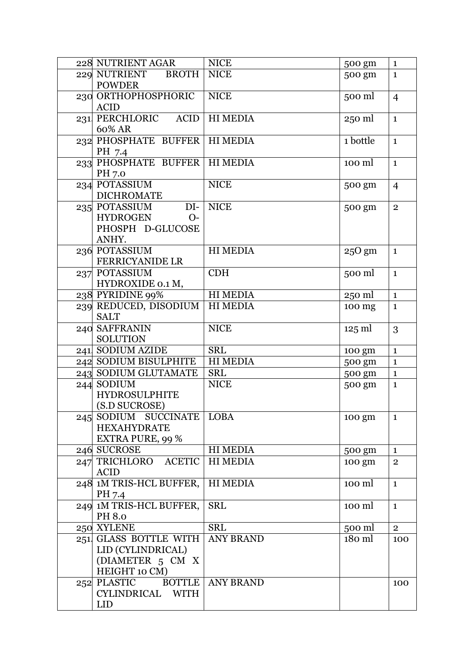| 228 NUTRIENT AGAR                 | <b>NICE</b>      | 500 gm           | $\mathbf 1$    |
|-----------------------------------|------------------|------------------|----------------|
| <b>BROTH</b><br>229 NUTRIENT      | <b>NICE</b>      | 500 gm           | $\mathbf{1}$   |
| <b>POWDER</b>                     |                  |                  |                |
| 230 ORTHOPHOSPHORIC               | <b>NICE</b>      | 500 ml           | $\overline{4}$ |
| <b>ACID</b>                       |                  |                  |                |
| 231 PERCHLORIC<br><b>ACID</b>     | <b>HIMEDIA</b>   | 250 ml           | $\mathbf{1}$   |
| 60% AR                            |                  |                  |                |
| 232 PHOSPHATE BUFFER              | <b>HIMEDIA</b>   | 1 bottle         | $\mathbf{1}$   |
| PH 7.4                            |                  |                  |                |
| 233 PHOSPHATE BUFFER              | <b>HIMEDIA</b>   | 100 ml           | $\mathbf{1}$   |
| PH 7.0                            |                  |                  |                |
| 234 POTASSIUM                     | <b>NICE</b>      | 500 gm           | $\overline{4}$ |
| <b>DICHROMATE</b>                 |                  |                  |                |
| 235 POTASSIUM<br>$DI-$            | <b>NICE</b>      | 500 gm           | $\overline{2}$ |
| <b>HYDROGEN</b><br>$O-$           |                  |                  |                |
| PHOSPH D-GLUCOSE                  |                  |                  |                |
| ANHY.                             |                  |                  |                |
| 236 POTASSIUM                     | <b>HI MEDIA</b>  | $250$ gm         | $\mathbf{1}$   |
| <b>FERRICYANIDE LR</b>            |                  |                  |                |
| 237 POTASSIUM                     | <b>CDH</b>       | 500 ml           | $\mathbf{1}$   |
| HYDROXIDE 0.1 M,                  |                  |                  |                |
| 238 PYRIDINE 99%                  | <b>HI MEDIA</b>  | 250 ml           | $\mathbf{1}$   |
| 239 REDUCED, DISODIUM             | HI MEDIA         | 100 mg           | $\mathbf{1}$   |
| <b>SALT</b>                       |                  |                  |                |
| 240 SAFFRANIN                     | <b>NICE</b>      | $125 \text{ ml}$ | 3              |
| <b>SOLUTION</b>                   |                  |                  |                |
| 241 SODIUM AZIDE                  | <b>SRL</b>       | 100 gm           | $\mathbf{1}$   |
| 242 SODIUM BISULPHITE             | <b>HI MEDIA</b>  | 500 gm           | $\mathbf{1}$   |
| 243 SODIUM GLUTAMATE              | <b>SRL</b>       | 500 gm           | $\mathbf 1$    |
| 244 SODIUM                        | <b>NICE</b>      | 500 gm           | $\mathbf{1}$   |
| <b>HYDROSULPHITE</b>              |                  |                  |                |
| (S.D SUCROSE)                     |                  |                  |                |
| 245 SODIUM SUCCINATE              | <b>LOBA</b>      | 100 gm           | $\mathbf{1}$   |
| <b>HEXAHYDRATE</b>                |                  |                  |                |
| <b>EXTRA PURE, 99 %</b>           |                  |                  |                |
| 246 SUCROSE                       | <b>HI MEDIA</b>  | 500 gm           | $\mathbf{1}$   |
| <b>ACETIC</b><br>247 TRICHLORO    | <b>HI MEDIA</b>  | 100 gm           | $\overline{2}$ |
| <b>ACID</b>                       |                  |                  |                |
| 248 1M TRIS-HCL BUFFER,           | <b>HI MEDIA</b>  | 100 ml           | $\mathbf{1}$   |
| PH 7.4                            |                  |                  |                |
| 249 1M TRIS-HCL BUFFER,           | <b>SRL</b>       | 100 ml           | $\mathbf{1}$   |
| PH 8.0                            |                  |                  |                |
| 250 XYLENE                        | <b>SRL</b>       | 500 ml           | $\overline{2}$ |
| 251 GLASS BOTTLE WITH             | <b>ANY BRAND</b> | 180 ml           | 100            |
| LID (CYLINDRICAL)                 |                  |                  |                |
| (DIAMETER 5 CM X<br>HEIGHT 10 CM) |                  |                  |                |
| <b>BOTTLE</b><br>252 PLASTIC      |                  |                  |                |
| CYLINDRICAL WITH                  | <b>ANY BRAND</b> |                  | 100            |
| <b>LID</b>                        |                  |                  |                |
|                                   |                  |                  |                |